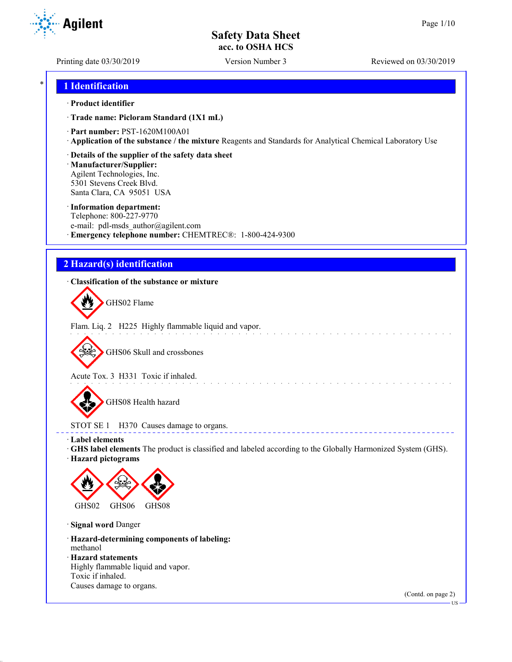Printing date 03/30/2019 Version Number 3 Reviewed on 03/30/2019

## \* **1 Identification**

#### · **Product identifier**

· **Trade name: Picloram Standard (1X1 mL)**

- · **Part number:** PST-1620M100A01
- · **Application of the substance / the mixture** Reagents and Standards for Analytical Chemical Laboratory Use
- · **Details of the supplier of the safety data sheet**

· **Manufacturer/Supplier:** Agilent Technologies, Inc. 5301 Stevens Creek Blvd. Santa Clara, CA 95051 USA

#### · **Information department:**

Telephone: 800-227-9770 e-mail: pdl-msds author@agilent.com · **Emergency telephone number:** CHEMTREC®: 1-800-424-9300

## **2 Hazard(s) identification**

### · **Classification of the substance or mixture**

GHS02 Flame

Flam. Liq. 2 H225 Highly flammable liquid and vapor.

GHS06 Skull and crossbones

Acute Tox. 3 H331 Toxic if inhaled.

GHS08 Health hazard

STOT SE 1 H370 Causes damage to organs.

· **Label elements**

· **GHS label elements** The product is classified and labeled according to the Globally Harmonized System (GHS).

and a straight and a straight

<u>a dia dia d</u>

· **Hazard pictograms**



· **Signal word** Danger

· **Hazard-determining components of labeling:** methanol

· **Hazard statements**

Highly flammable liquid and vapor. Toxic if inhaled. Causes damage to organs.

(Contd. on page 2)



US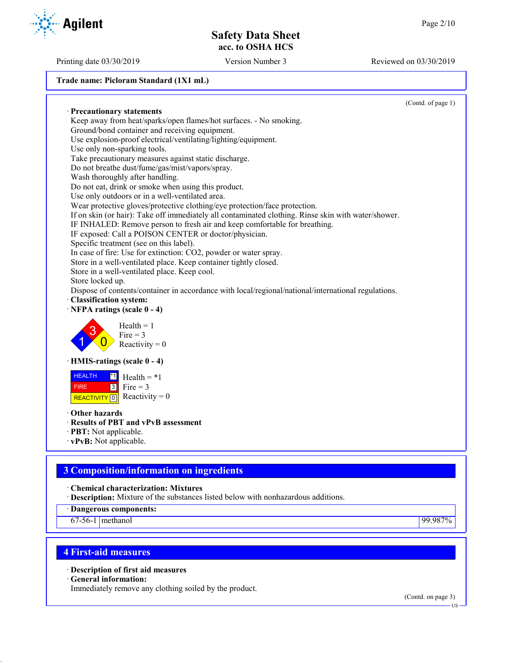**Trade name: Picloram Standard (1X1 mL)**

(Contd. of page 1) · **Precautionary statements** Keep away from heat/sparks/open flames/hot surfaces. - No smoking. Ground/bond container and receiving equipment. Use explosion-proof electrical/ventilating/lighting/equipment. Use only non-sparking tools. Take precautionary measures against static discharge. Do not breathe dust/fume/gas/mist/vapors/spray. Wash thoroughly after handling. Do not eat, drink or smoke when using this product. Use only outdoors or in a well-ventilated area. Wear protective gloves/protective clothing/eye protection/face protection. If on skin (or hair): Take off immediately all contaminated clothing. Rinse skin with water/shower. IF INHALED: Remove person to fresh air and keep comfortable for breathing. IF exposed: Call a POISON CENTER or doctor/physician. Specific treatment (see on this label). In case of fire: Use for extinction: CO2, powder or water spray. Store in a well-ventilated place. Keep container tightly closed. Store in a well-ventilated place. Keep cool. Store locked up. Dispose of contents/container in accordance with local/regional/national/international regulations. · **Classification system:** · **NFPA ratings (scale 0 - 4)** 1 3  $\overline{0}$  $Health = 1$  $Fire = 3$ Reactivity  $= 0$ · **HMIS-ratings (scale 0 - 4) HEALTH**  FIRE REACTIVITY  $\boxed{0}$  Reactivity = 0  $\overline{1}$  Health = \*1  $3$  Fire = 3 · **Other hazards** · **Results of PBT and vPvB assessment** · **PBT:** Not applicable. · **vPvB:** Not applicable.

# **3 Composition/information on ingredients**

· **Chemical characterization: Mixtures**

· **Description:** Mixture of the substances listed below with nonhazardous additions.

· **Dangerous components:**

67-56-1 methanol 99.987%

# **4 First-aid measures**

· **Description of first aid measures**

· **General information:**

Immediately remove any clothing soiled by the product.

(Contd. on page 3)



Printing date 03/30/2019 Version Number 3 Reviewed on 03/30/2019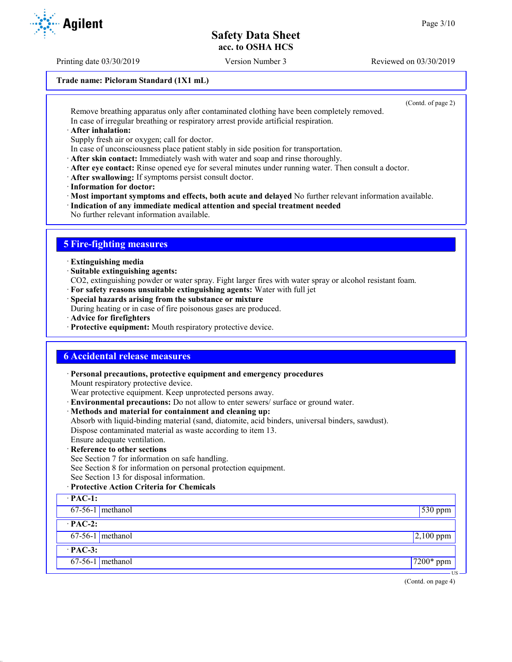Printing date 03/30/2019 Version Number 3 Reviewed on 03/30/2019

#### **Trade name: Picloram Standard (1X1 mL)**

(Contd. of page 2)

Remove breathing apparatus only after contaminated clothing have been completely removed. In case of irregular breathing or respiratory arrest provide artificial respiration.

· **After inhalation:**

Supply fresh air or oxygen; call for doctor.

In case of unconsciousness place patient stably in side position for transportation.

· **After skin contact:** Immediately wash with water and soap and rinse thoroughly.

- · **After eye contact:** Rinse opened eye for several minutes under running water. Then consult a doctor.
- · **After swallowing:** If symptoms persist consult doctor.
- · **Information for doctor:**

· **Most important symptoms and effects, both acute and delayed** No further relevant information available.

· **Indication of any immediate medical attention and special treatment needed**

No further relevant information available.

## **5 Fire-fighting measures**

· **Extinguishing media**

· **Suitable extinguishing agents:**

CO2, extinguishing powder or water spray. Fight larger fires with water spray or alcohol resistant foam.

- · **For safety reasons unsuitable extinguishing agents:** Water with full jet
- · **Special hazards arising from the substance or mixture**

During heating or in case of fire poisonous gases are produced.

- · **Advice for firefighters**
- · **Protective equipment:** Mouth respiratory protective device.

### **6 Accidental release measures**

· **Personal precautions, protective equipment and emergency procedures** Mount respiratory protective device. Wear protective equipment. Keep unprotected persons away. · **Environmental precautions:** Do not allow to enter sewers/ surface or ground water. · **Methods and material for containment and cleaning up:** Absorb with liquid-binding material (sand, diatomite, acid binders, universal binders, sawdust). Dispose contaminated material as waste according to item 13. Ensure adequate ventilation. · **Reference to other sections** See Section 7 for information on safe handling. See Section 8 for information on personal protection equipment. See Section 13 for disposal information. · **Protective Action Criteria for Chemicals** · **PAC-1:** 67-56-1 methanol 530 ppm · **PAC-2:**  $67-56-1$  methanol 2,100 ppm · **PAC-3:** 67-56-1 methanol 7200\* ppm



US

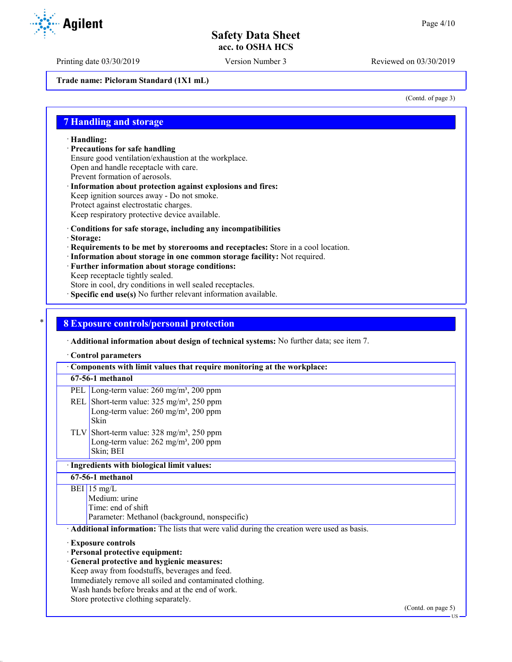Printing date 03/30/2019 Version Number 3 Reviewed on 03/30/2019

**Trade name: Picloram Standard (1X1 mL)**

(Contd. of page 3)

### **7 Handling and storage**

· **Handling:**

· **Precautions for safe handling**

Ensure good ventilation/exhaustion at the workplace.

Open and handle receptacle with care.

- Prevent formation of aerosols.
- · **Information about protection against explosions and fires:** Keep ignition sources away - Do not smoke. Protect against electrostatic charges.
- Keep respiratory protective device available.
- · **Conditions for safe storage, including any incompatibilities**
- · **Storage:**
- · **Requirements to be met by storerooms and receptacles:** Store in a cool location.
- · **Information about storage in one common storage facility:** Not required.
- · **Further information about storage conditions:**
- Keep receptacle tightly sealed.

Store in cool, dry conditions in well sealed receptacles.

· **Specific end use(s)** No further relevant information available.

#### \* **8 Exposure controls/personal protection**

· **Additional information about design of technical systems:** No further data; see item 7.

· **Control parameters**

· **Components with limit values that require monitoring at the workplace: 67-56-1 methanol** PEL Long-term value: 260 mg/m<sup>3</sup>, 200 ppm REL Short-term value:  $325 \text{ mg/m}^3$ ,  $250 \text{ ppm}$ Long-term value:  $260$  mg/m<sup>3</sup>,  $200$  ppm Skin TLV Short-term value:  $328 \text{ mg/m}^3$ ,  $250 \text{ ppm}$ Long-term value:  $262$  mg/m<sup>3</sup>,  $200$  ppm Skin; BEI · **Ingredients with biological limit values: 67-56-1 methanol**  $BEI$  15 mg/L Medium: urine Time: end of shift Parameter: Methanol (background, nonspecific) · **Additional information:** The lists that were valid during the creation were used as basis. · **Exposure controls** · **Personal protective equipment:** · **General protective and hygienic measures:** Keep away from foodstuffs, beverages and feed. Immediately remove all soiled and contaminated clothing. Wash hands before breaks and at the end of work. Store protective clothing separately.

(Contd. on page 5)

US

**Agilent**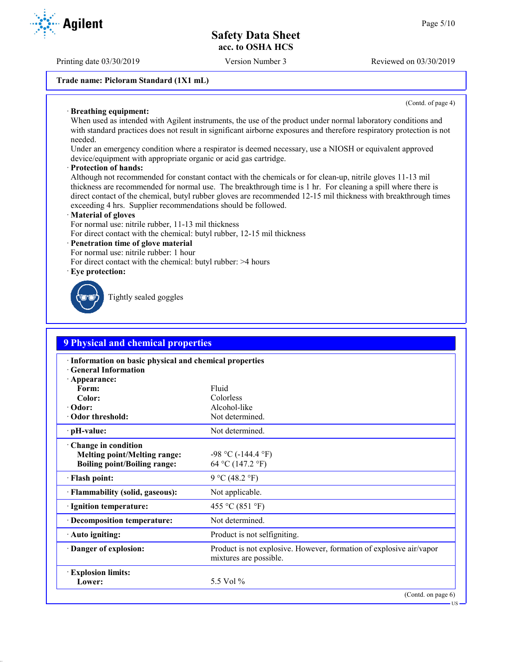Printing date 03/30/2019 Version Number 3 Reviewed on 03/30/2019

#### **Trade name: Picloram Standard (1X1 mL)**

(Contd. of page 4)

US

#### · **Breathing equipment:**

When used as intended with Agilent instruments, the use of the product under normal laboratory conditions and with standard practices does not result in significant airborne exposures and therefore respiratory protection is not needed.

Under an emergency condition where a respirator is deemed necessary, use a NIOSH or equivalent approved device/equipment with appropriate organic or acid gas cartridge.

#### · **Protection of hands:**

Although not recommended for constant contact with the chemicals or for clean-up, nitrile gloves 11-13 mil thickness are recommended for normal use. The breakthrough time is 1 hr. For cleaning a spill where there is direct contact of the chemical, butyl rubber gloves are recommended 12-15 mil thickness with breakthrough times exceeding 4 hrs. Supplier recommendations should be followed.

#### · **Material of gloves**

For normal use: nitrile rubber, 11-13 mil thickness

For direct contact with the chemical: butyl rubber, 12-15 mil thickness

#### · **Penetration time of glove material**

For normal use: nitrile rubber: 1 hour

For direct contact with the chemical: butyl rubber: >4 hours

· **Eye protection:**



Tightly sealed goggles

| <b>9 Physical and chemical properties</b>                                                           |                                                                                               |  |  |  |
|-----------------------------------------------------------------------------------------------------|-----------------------------------------------------------------------------------------------|--|--|--|
| · Information on basic physical and chemical properties<br><b>General Information</b>               |                                                                                               |  |  |  |
| · Appearance:<br>Form:                                                                              | Fluid                                                                                         |  |  |  |
| Color:                                                                                              | Colorless                                                                                     |  |  |  |
| · Odor:                                                                                             | Alcohol-like                                                                                  |  |  |  |
| Odor threshold:                                                                                     | Not determined.                                                                               |  |  |  |
| $\cdot$ pH-value:                                                                                   | Not determined.                                                                               |  |  |  |
| · Change in condition<br><b>Melting point/Melting range:</b><br><b>Boiling point/Boiling range:</b> | $-98$ °C ( $-144.4$ °F)<br>64 °C (147.2 °F)                                                   |  |  |  |
| · Flash point:                                                                                      | 9 °C (48.2 °F)                                                                                |  |  |  |
| · Flammability (solid, gaseous):                                                                    | Not applicable.                                                                               |  |  |  |
| · Ignition temperature:                                                                             | 455 °C (851 °F)                                                                               |  |  |  |
| · Decomposition temperature:                                                                        | Not determined.                                                                               |  |  |  |
| · Auto igniting:                                                                                    | Product is not selfigniting.                                                                  |  |  |  |
| Danger of explosion:                                                                                | Product is not explosive. However, formation of explosive air/vapor<br>mixtures are possible. |  |  |  |
| <b>Explosion limits:</b><br>Lower:                                                                  | 5.5 Vol $\%$                                                                                  |  |  |  |
|                                                                                                     | (Contd. on page 6)                                                                            |  |  |  |

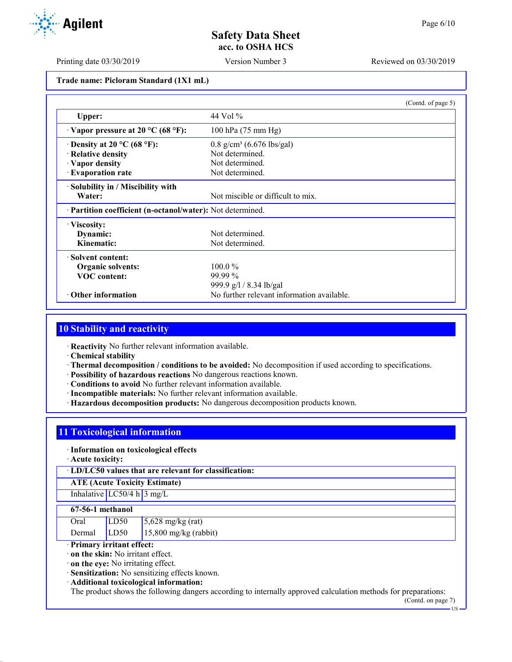Printing date 03/30/2019 Version Number 3 Reviewed on 03/30/2019

# **Trade name: Picloram Standard (1X1 mL)**

|                                                            | (Contd. of page 5)                         |  |
|------------------------------------------------------------|--------------------------------------------|--|
| Upper:                                                     | 44 Vol %                                   |  |
| $\cdot$ Vapor pressure at 20 °C (68 °F):                   | 100 hPa (75 mm Hg)                         |  |
| $\cdot$ Density at 20 °C (68 °F):                          | $0.8$ g/cm <sup>3</sup> (6.676 lbs/gal)    |  |
| · Relative density                                         | Not determined.                            |  |
| · Vapor density                                            | Not determined.                            |  |
| · Evaporation rate                                         | Not determined.                            |  |
| · Solubility in / Miscibility with                         |                                            |  |
| Water:                                                     | Not miscible or difficult to mix.          |  |
| · Partition coefficient (n-octanol/water): Not determined. |                                            |  |
| · Viscosity:                                               |                                            |  |
| Dynamic:                                                   | Not determined.                            |  |
| Kinematic:                                                 | Not determined.                            |  |
| · Solvent content:                                         |                                            |  |
| <b>Organic solvents:</b>                                   | $100.0\%$                                  |  |
| <b>VOC</b> content:                                        | $99.99\%$                                  |  |
|                                                            | 999.9 g/l / 8.34 lb/gal                    |  |
| $\cdot$ Other information                                  | No further relevant information available. |  |

# **10 Stability and reactivity**

· **Reactivity** No further relevant information available.

- · **Chemical stability**
- · **Thermal decomposition / conditions to be avoided:** No decomposition if used according to specifications.
- · **Possibility of hazardous reactions** No dangerous reactions known.
- · **Conditions to avoid** No further relevant information available.
- · **Incompatible materials:** No further relevant information available.
- · **Hazardous decomposition products:** No dangerous decomposition products known.

## **11 Toxicological information**

#### · **Information on toxicological effects**

· **Acute toxicity:**

· **LD/LC50 values that are relevant for classification:**

## **ATE (Acute Toxicity Estimate)**

## Inhalative  $LC50/4$  h  $3$  mg/L

#### **67-56-1 methanol**

| Oral   | LD50 | $5,628$ mg/kg (rat)     |
|--------|------|-------------------------|
| Dermal | LD50 | $15,800$ mg/kg (rabbit) |

### · **Primary irritant effect:**

· **on the skin:** No irritant effect.

· **on the eye:** No irritating effect.

· **Sensitization:** No sensitizing effects known.

· **Additional toxicological information:**

The product shows the following dangers according to internally approved calculation methods for preparations:

(Contd. on page 7) US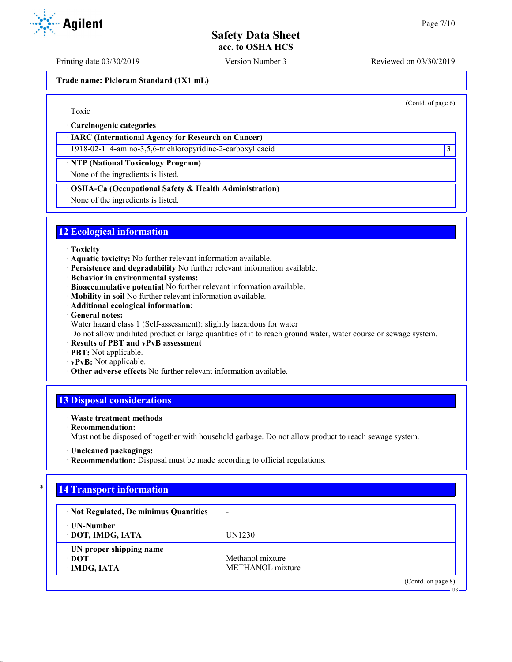Printing date 03/30/2019 Version Number 3 Reviewed on 03/30/2019

**Trade name: Picloram Standard (1X1 mL)**

(Contd. of page 6)

Toxic

· **Carcinogenic categories**

· **IARC (International Agency for Research on Cancer)**

1918-02-1 4-amino-3,5,6-trichloropyridine-2-carboxylicacid 3

· **NTP (National Toxicology Program)**

None of the ingredients is listed.

## · **OSHA-Ca (Occupational Safety & Health Administration)**

None of the ingredients is listed.

## **12 Ecological information**

- · **Toxicity**
- · **Aquatic toxicity:** No further relevant information available.
- · **Persistence and degradability** No further relevant information available.
- · **Behavior in environmental systems:**
- · **Bioaccumulative potential** No further relevant information available.
- · **Mobility in soil** No further relevant information available.
- · **Additional ecological information:**
- · **General notes:**
- Water hazard class 1 (Self-assessment): slightly hazardous for water

Do not allow undiluted product or large quantities of it to reach ground water, water course or sewage system.

- · **Results of PBT and vPvB assessment**
- · **PBT:** Not applicable.
- · **vPvB:** Not applicable.
- · **Other adverse effects** No further relevant information available.

# **13 Disposal considerations**

## · **Waste treatment methods**

· **Recommendation:**

Must not be disposed of together with household garbage. Do not allow product to reach sewage system.

· **Recommendation:** Disposal must be made according to official regulations.

# **14 Transport information**

| · Not Regulated, De minimus Quantities | $\overline{\phantom{a}}$ |                    |
|----------------------------------------|--------------------------|--------------------|
| ⋅ UN-Number                            |                          |                    |
| · DOT, IMDG, IATA                      | UN1230                   |                    |
| $\cdot$ UN proper shipping name        |                          |                    |
| ∙ DOT                                  | Methanol mixture         |                    |
| · IMDG, IATA                           | METHANOL mixture         |                    |
|                                        |                          | (Contd. on page 8) |
|                                        |                          | $US -$             |



<sup>·</sup> **Uncleaned packagings:**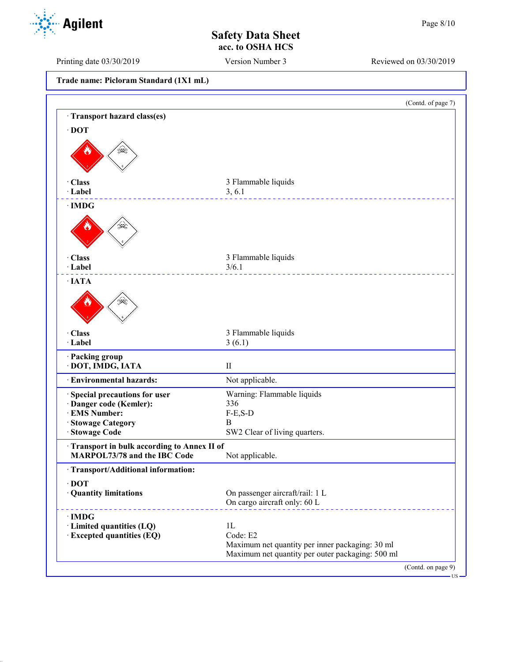Printing date 03/30/2019 Version Number 3 Reviewed on 03/30/2019

**Trade name: Picloram Standard (1X1 mL)**

|                                                                            | (Contd. of page 7)                                                                                  |
|----------------------------------------------------------------------------|-----------------------------------------------------------------------------------------------------|
| Transport hazard class(es)                                                 |                                                                                                     |
| $\cdot$ DOT                                                                |                                                                                                     |
|                                                                            |                                                                                                     |
| · Class<br>· Label                                                         | 3 Flammable liquids<br>3, 6.1                                                                       |
| $\cdot$ IMDG                                                               |                                                                                                     |
|                                                                            |                                                                                                     |
| · Class                                                                    | 3 Flammable liquids                                                                                 |
| · Label                                                                    | 3/6.1<br>.                                                                                          |
| $\cdot$ IATA                                                               |                                                                                                     |
| ≫≹                                                                         |                                                                                                     |
| · Class                                                                    | 3 Flammable liquids                                                                                 |
| · Label                                                                    | 3(6.1)                                                                                              |
| · Packing group<br>· DOT, IMDG, IATA                                       | $\mathbf{I}$                                                                                        |
| · Environmental hazards:                                                   | Not applicable.                                                                                     |
| Special precautions for user                                               | Warning: Flammable liquids                                                                          |
| · Danger code (Kemler):                                                    | 336                                                                                                 |
| · EMS Number:<br>· Stowage Category                                        | $F-E$ , $S-D$<br>B                                                                                  |
| Stowage Code                                                               | SW2 Clear of living quarters.                                                                       |
| Transport in bulk according to Annex II of<br>MARPOL73/78 and the IBC Code | Not applicable.                                                                                     |
| · Transport/Additional information:                                        |                                                                                                     |
| $\cdot$ DOT<br>· Quantity limitations                                      | On passenger aircraft/rail: 1 L<br>On cargo aircraft only: 60 L                                     |
| $\cdot$ IMDG                                                               |                                                                                                     |
| · Limited quantities (LQ)                                                  | 1L                                                                                                  |
| · Excepted quantities (EQ)                                                 | Code: E2                                                                                            |
|                                                                            | Maximum net quantity per inner packaging: 30 ml<br>Maximum net quantity per outer packaging: 500 ml |
|                                                                            |                                                                                                     |

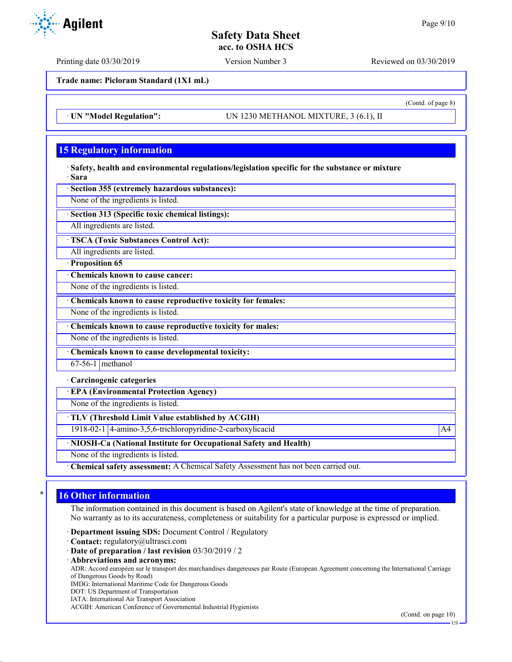Printing date 03/30/2019 Version Number 3 Reviewed on 03/30/2019

**Trade name: Picloram Standard (1X1 mL)**

· **UN "Model Regulation":** UN 1230 METHANOL MIXTURE, 3 (6.1), II

## **15 Regulatory information**

· **Safety, health and environmental regulations/legislation specific for the substance or mixture** · **Sara**

· **Section 355 (extremely hazardous substances):**

None of the ingredients is listed.

· **Section 313 (Specific toxic chemical listings):**

All ingredients are listed.

· **TSCA (Toxic Substances Control Act):**

All ingredients are listed.

· **Proposition 65**

· **Chemicals known to cause cancer:**

None of the ingredients is listed.

· **Chemicals known to cause reproductive toxicity for females:**

None of the ingredients is listed.

· **Chemicals known to cause reproductive toxicity for males:**

None of the ingredients is listed.

· **Chemicals known to cause developmental toxicity:**

67-56-1 methanol

· **Carcinogenic categories**

· **EPA (Environmental Protection Agency)**

None of the ingredients is listed.

· **TLV (Threshold Limit Value established by ACGIH)**

1918-02-1 4-amino-3,5,6-trichloropyridine-2-carboxylicacid A4

· **NIOSH-Ca (National Institute for Occupational Safety and Health)**

None of the ingredients is listed.

· **Chemical safety assessment:** A Chemical Safety Assessment has not been carried out.

## **16 Other information**

The information contained in this document is based on Agilent's state of knowledge at the time of preparation. No warranty as to its accurateness, completeness or suitability for a particular purpose is expressed or implied.

· **Department issuing SDS:** Document Control / Regulatory

· **Contact:** regulatory@ultrasci.com

· **Date of preparation / last revision** 03/30/2019 / 2

· **Abbreviations and acronyms:**

ADR: Accord européen sur le transport des marchandises dangereuses par Route (European Agreement concerning the International Carriage of Dangerous Goods by Road)

IMDG: International Maritime Code for Dangerous Goods

DOT: US Department of Transportation

IATA: International Air Transport Association

ACGIH: American Conference of Governmental Industrial Hygienists



(Contd. of page 8)